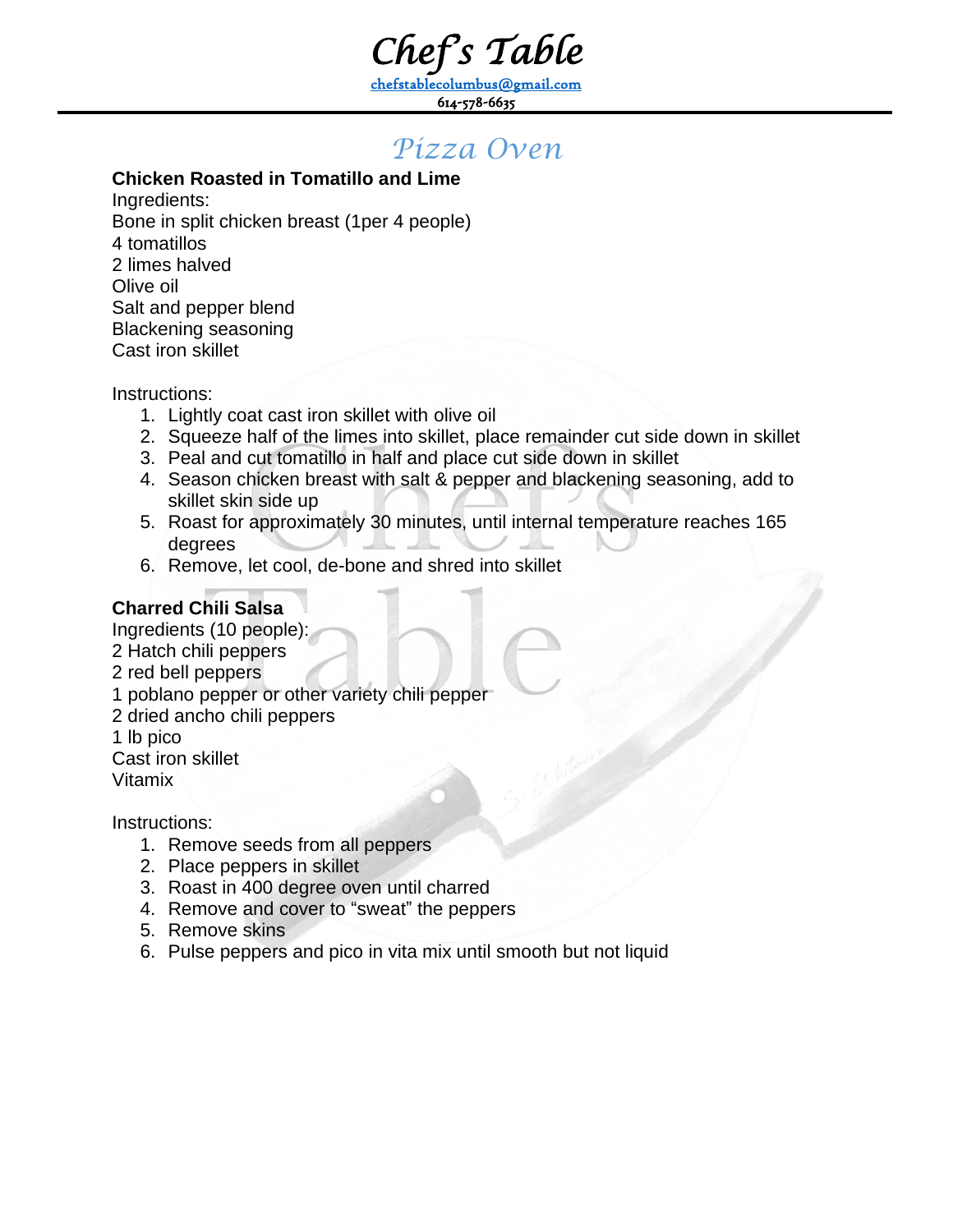*Chef's Table* 

[chefstablecolumbus@gmail.com](mailto:chefstablecolumbus@gmail.com) 614-578-6635

# *Pizza Oven*

# **Chicken Roasted in Tomatillo and Lime**

Ingredients: Bone in split chicken breast (1per 4 people) 4 tomatillos 2 limes halved Olive oil Salt and pepper blend Blackening seasoning Cast iron skillet

Instructions:

- 1. Lightly coat cast iron skillet with olive oil
- 2. Squeeze half of the limes into skillet, place remainder cut side down in skillet
- 3. Peal and cut tomatillo in half and place cut side down in skillet
- 4. Season chicken breast with salt & pepper and blackening seasoning, add to skillet skin side up
- 5. Roast for approximately 30 minutes, until internal temperature reaches 165 degrees
- 6. Remove, let cool, de-bone and shred into skillet

# **Charred Chili Salsa**

Ingredients (10 people): 2 Hatch chili peppers 2 red bell peppers 1 poblano pepper or other variety chili pepper 2 dried ancho chili peppers 1 lb pico Cast iron skillet Vitamix

- 1. Remove seeds from all peppers
- 2. Place peppers in skillet
- 3. Roast in 400 degree oven until charred
- 4. Remove and cover to "sweat" the peppers
- 5. Remove skins
- 6. Pulse peppers and pico in vita mix until smooth but not liquid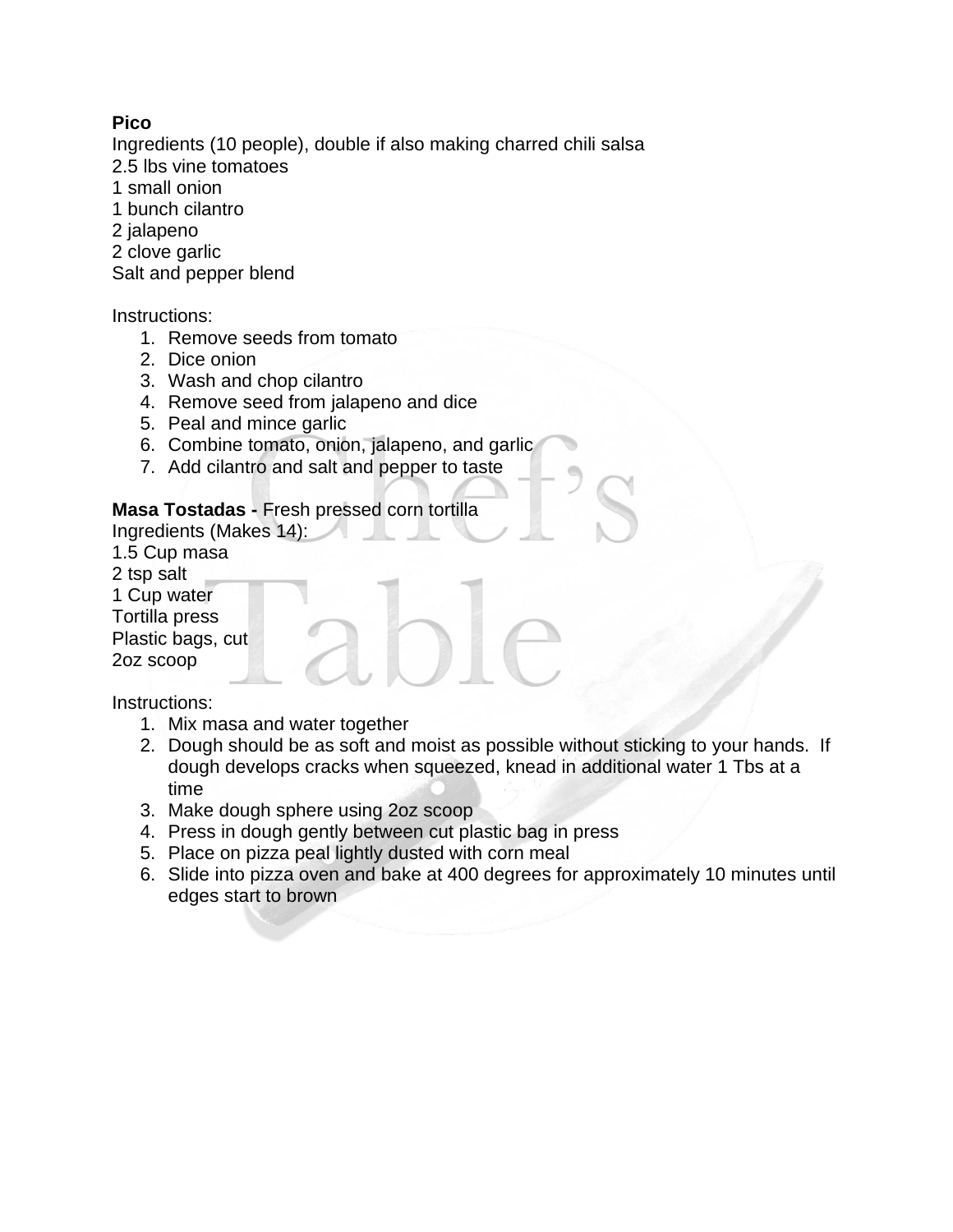### **Pico**

Ingredients (10 people), double if also making charred chili salsa

- 2.5 lbs vine tomatoes
- 1 small onion
- 1 bunch cilantro
- 2 jalapeno
- 2 clove garlic

Salt and pepper blend

#### Instructions:

- 1. Remove seeds from tomato
- 2. Dice onion
- 3. Wash and chop cilantro
- 4. Remove seed from jalapeno and dice
- 5. Peal and mince garlic
- 6. Combine tomato, onion, jalapeno, and garlic
- 7. Add cilantro and salt and pepper to taste

## **Masa Tostadas -** Fresh pressed corn tortilla

- Ingredients (Makes 14):
- 1.5 Cup masa
- 2 tsp salt
- 1 Cup water
- Tortilla press

Plastic bags, cut

2oz scoop

- 1. Mix masa and water together
- 2. Dough should be as soft and moist as possible without sticking to your hands. If dough develops cracks when squeezed, knead in additional water 1 Tbs at a time
- 3. Make dough sphere using 2oz scoop
- 4. Press in dough gently between cut plastic bag in press
- 5. Place on pizza peal lightly dusted with corn meal
- 6. Slide into pizza oven and bake at 400 degrees for approximately 10 minutes until edges start to brown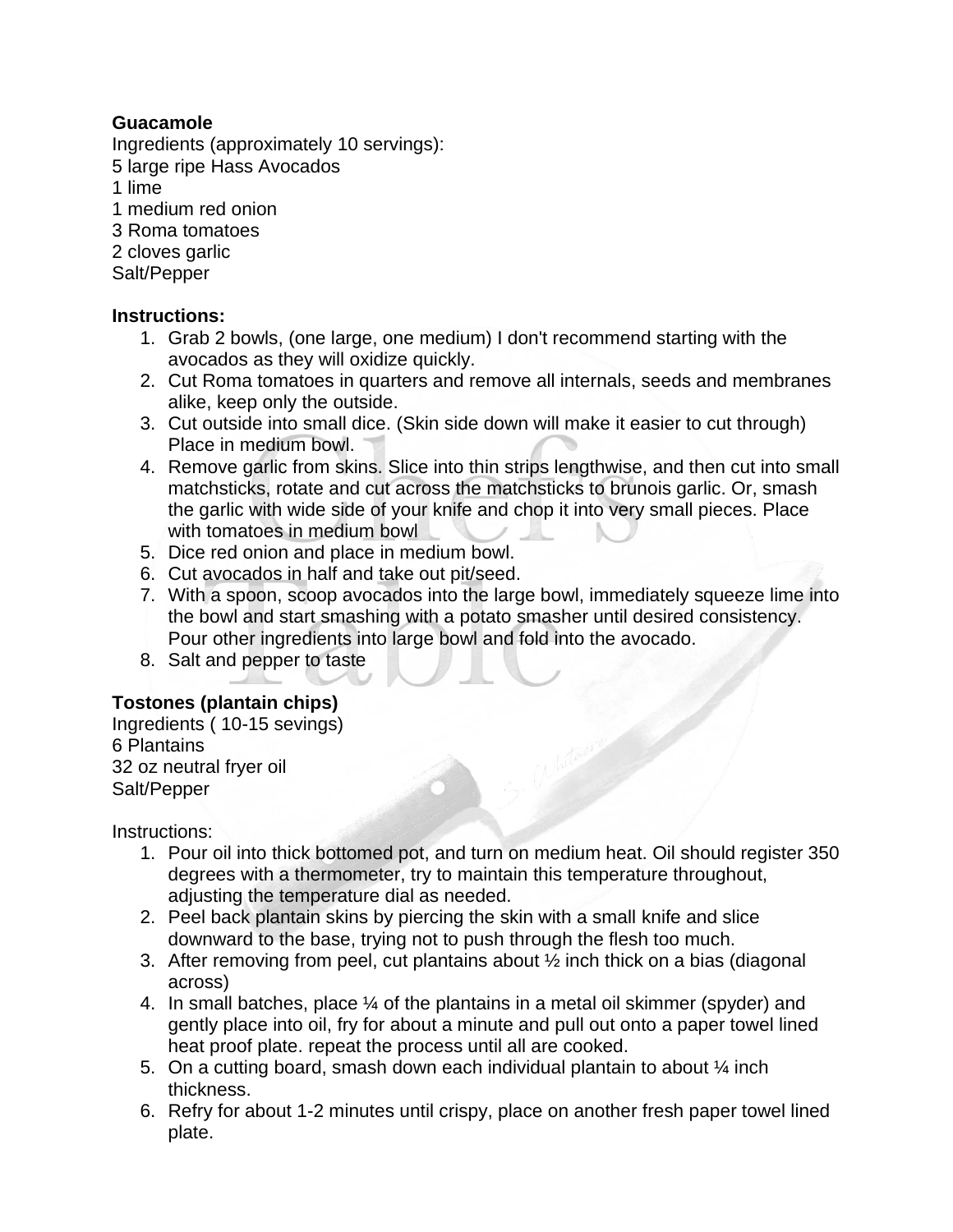### **Guacamole**

Ingredients (approximately 10 servings):

5 large ripe Hass Avocados

1 lime

- 1 medium red onion
- 3 Roma tomatoes
- 2 cloves garlic

Salt/Pepper

#### **Instructions:**

- 1. Grab 2 bowls, (one large, one medium) I don't recommend starting with the avocados as they will oxidize quickly.
- 2. Cut Roma tomatoes in quarters and remove all internals, seeds and membranes alike, keep only the outside.
- 3. Cut outside into small dice. (Skin side down will make it easier to cut through) Place in medium bowl.
- 4. Remove garlic from skins. Slice into thin strips lengthwise, and then cut into small matchsticks, rotate and cut across the matchsticks to brunois garlic. Or, smash the garlic with wide side of your knife and chop it into very small pieces. Place with tomatoes in medium bowl
- 5. Dice red onion and place in medium bowl.
- 6. Cut avocados in half and take out pit/seed.
- 7. With a spoon, scoop avocados into the large bowl, immediately squeeze lime into the bowl and start smashing with a potato smasher until desired consistency. Pour other ingredients into large bowl and fold into the avocado.
- 8. Salt and pepper to taste

## **Tostones (plantain chips)**

Ingredients ( 10-15 sevings) 6 Plantains 32 oz neutral fryer oil Salt/Pepper

- 1. Pour oil into thick bottomed pot, and turn on medium heat. Oil should register 350 degrees with a thermometer, try to maintain this temperature throughout, adjusting the temperature dial as needed.
- 2. Peel back plantain skins by piercing the skin with a small knife and slice downward to the base, trying not to push through the flesh too much.
- 3. After removing from peel, cut plantains about ½ inch thick on a bias (diagonal across)
- 4. In small batches, place ¼ of the plantains in a metal oil skimmer (spyder) and gently place into oil, fry for about a minute and pull out onto a paper towel lined heat proof plate. repeat the process until all are cooked.
- 5. On a cutting board, smash down each individual plantain to about  $\frac{1}{4}$  inch thickness.
- 6. Refry for about 1-2 minutes until crispy, place on another fresh paper towel lined plate.